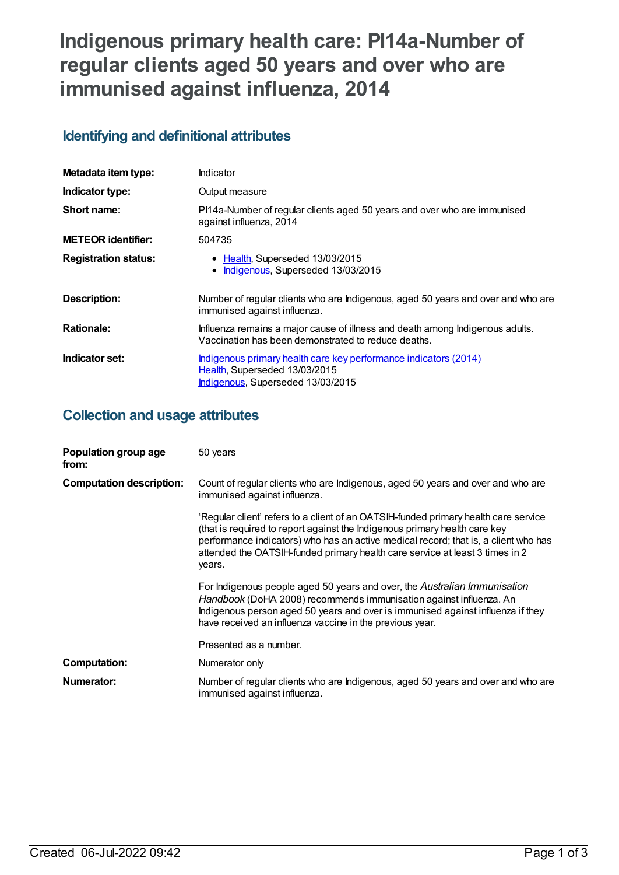# **Indigenous primary health care: PI14a-Number of regular clients aged 50 years and over who are immunised against influenza, 2014**

## **Identifying and definitional attributes**

| Metadata item type:         | Indicator                                                                                                                              |
|-----------------------------|----------------------------------------------------------------------------------------------------------------------------------------|
| Indicator type:             | Output measure                                                                                                                         |
| Short name:                 | PI14a-Number of regular clients aged 50 years and over who are immunised<br>against influenza, 2014                                    |
| <b>METEOR</b> identifier:   | 504735                                                                                                                                 |
| <b>Registration status:</b> | • Health, Superseded 13/03/2015<br>Indigenous, Superseded 13/03/2015                                                                   |
| <b>Description:</b>         | Number of regular clients who are Indigenous, aged 50 years and over and who are<br>immunised against influenza.                       |
| <b>Rationale:</b>           | Influenza remains a major cause of illness and death among Indigenous adults.<br>Vaccination has been demonstrated to reduce deaths.   |
| Indicator set:              | Indigenous primary health care key performance indicators (2014)<br>Health, Superseded 13/03/2015<br>Indigenous, Superseded 13/03/2015 |

## **Collection and usage attributes**

| Population group age<br>from:   | 50 years                                                                                                                                                                                                                                                                                                                                           |
|---------------------------------|----------------------------------------------------------------------------------------------------------------------------------------------------------------------------------------------------------------------------------------------------------------------------------------------------------------------------------------------------|
| <b>Computation description:</b> | Count of regular clients who are Indigenous, aged 50 years and over and who are<br>immunised against influenza.                                                                                                                                                                                                                                    |
|                                 | 'Regular client' refers to a client of an OATSIH-funded primary health care service<br>(that is required to report against the Indigenous primary health care key<br>performance indicators) who has an active medical record; that is, a client who has<br>attended the OATSIH-funded primary health care service at least 3 times in 2<br>years. |
|                                 | For Indigenous people aged 50 years and over, the Australian Immunisation<br>Handbook (DoHA 2008) recommends immunisation against influenza. An<br>Indigenous person aged 50 years and over is immunised against influenza if they<br>have received an influenza vaccine in the previous year.                                                     |
|                                 | Presented as a number.                                                                                                                                                                                                                                                                                                                             |
| <b>Computation:</b>             | Numerator only                                                                                                                                                                                                                                                                                                                                     |
| Numerator:                      | Number of regular clients who are Indigenous, aged 50 years and over and who are<br>immunised against influenza.                                                                                                                                                                                                                                   |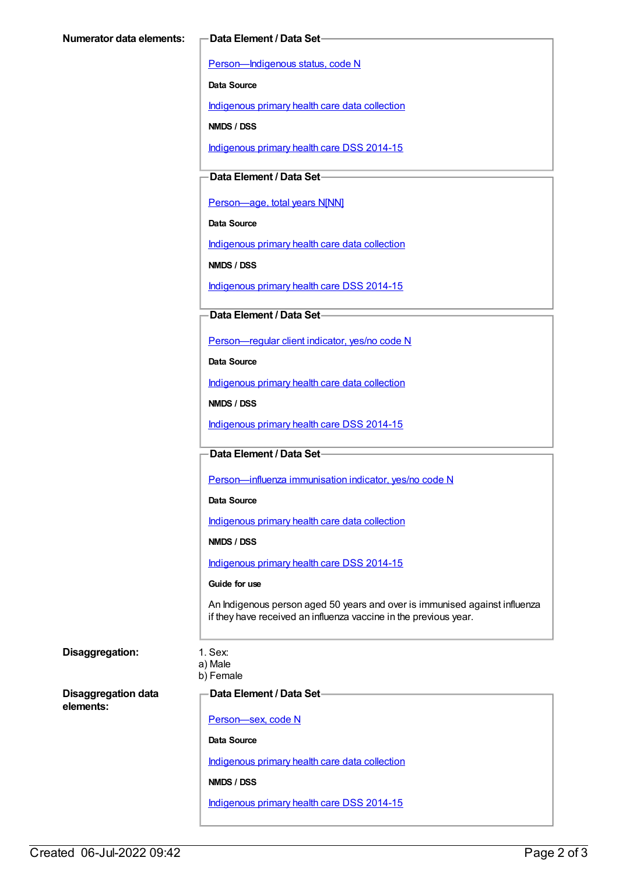[Person—Indigenous](https://meteor.aihw.gov.au/content/291036) status, code N

**Data Source**

[Indigenous](https://meteor.aihw.gov.au/content/430643) primary health care data collection

**NMDS / DSS**

[Indigenous](https://meteor.aihw.gov.au/content/504325) primary health care DSS 2014-15

**Data Element / Data Set**

Person-age, total years N[NN]

**Data Source**

[Indigenous](https://meteor.aihw.gov.au/content/430643) primary health care data collection

**NMDS / DSS**

[Indigenous](https://meteor.aihw.gov.au/content/504325) primary health care DSS 2014-15

### **Data Element / Data Set**

[Person—regular](https://meteor.aihw.gov.au/content/436639) client indicator, yes/no code N

**Data Source**

[Indigenous](https://meteor.aihw.gov.au/content/430643) primary health care data collection

**NMDS / DSS**

[Indigenous](https://meteor.aihw.gov.au/content/504325) primary health care DSS 2014-15

#### **Data Element / Data Set**

[Person—influenza](https://meteor.aihw.gov.au/content/457688) immunisation indicator, yes/no code N

**Data Source**

[Indigenous](https://meteor.aihw.gov.au/content/430643) primary health care data collection

**NMDS / DSS**

[Indigenous](https://meteor.aihw.gov.au/content/504325) primary health care DSS 2014-15

#### **Guide for use**

An Indigenous person aged 50 years and over is immunised against influenza if they have received an influenza vaccine in the previous year.

### **Disaggregation:** 1. Sex:

a) Male b) Female

**Disaggregation data elements:**

**Data Element / Data Set**

[Person—sex,](https://meteor.aihw.gov.au/content/287316) code N

**Data Source**

[Indigenous](https://meteor.aihw.gov.au/content/430643) primary health care data collection

**NMDS / DSS**

[Indigenous](https://meteor.aihw.gov.au/content/504325) primary health care DSS 2014-15